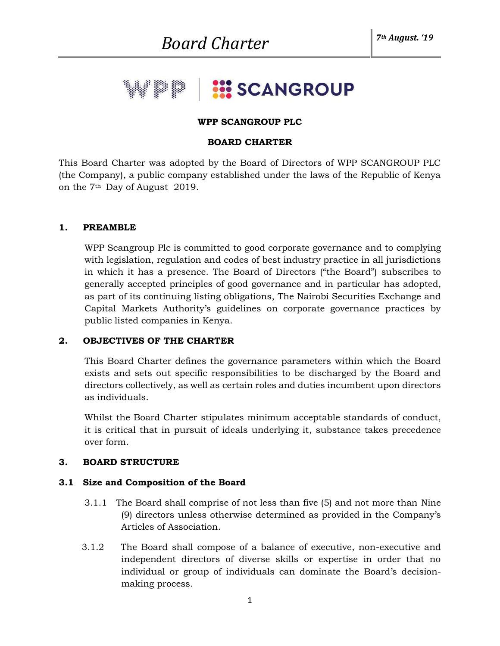# **EX SCANGROUP**

#### **WPP SCANGROUP PLC**

#### **BOARD CHARTER**

This Board Charter was adopted by the Board of Directors of WPP SCANGROUP PLC (the Company), a public company established under the laws of the Republic of Kenya on the 7th Day of August 2019.

#### **1. PREAMBLE**

 WPP Scangroup Plc is committed to good corporate governance and to complying with legislation, regulation and codes of best industry practice in all jurisdictions in which it has a presence. The Board of Directors ("the Board") subscribes to generally accepted principles of good governance and in particular has adopted, as part of its continuing listing obligations, The Nairobi Securities Exchange and Capital Markets Authority's guidelines on corporate governance practices by public listed companies in Kenya.

## **2. OBJECTIVES OF THE CHARTER**

 This Board Charter defines the governance parameters within which the Board exists and sets out specific responsibilities to be discharged by the Board and directors collectively, as well as certain roles and duties incumbent upon directors as individuals.

 Whilst the Board Charter stipulates minimum acceptable standards of conduct, it is critical that in pursuit of ideals underlying it, substance takes precedence over form.

## **3. BOARD STRUCTURE**

## **3.1 Size and Composition of the Board**

- 3.1.1 The Board shall comprise of not less than five (5) and not more than Nine (9) directors unless otherwise determined as provided in the Company's Articles of Association.
- 3.1.2 The Board shall compose of a balance of executive, non-executive and independent directors of diverse skills or expertise in order that no individual or group of individuals can dominate the Board's decisionmaking process.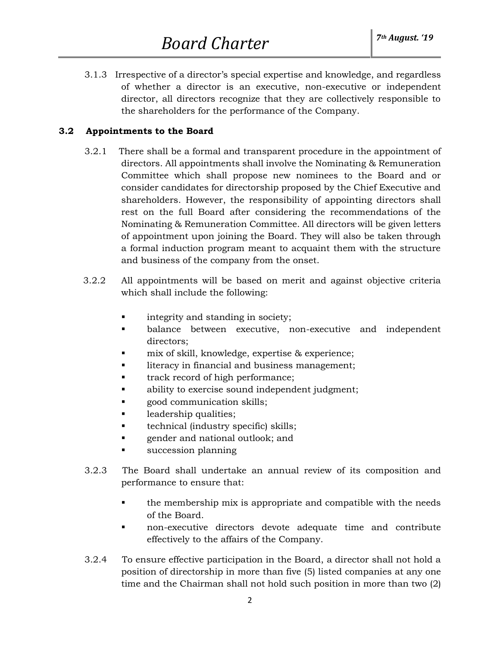3.1.3 Irrespective of a director's special expertise and knowledge, and regardless of whether a director is an executive, non-executive or independent director, all directors recognize that they are collectively responsible to the shareholders for the performance of the Company.

## **3.2 Appointments to the Board**

- 3.2.1 There shall be a formal and transparent procedure in the appointment of directors. All appointments shall involve the Nominating & Remuneration Committee which shall propose new nominees to the Board and or consider candidates for directorship proposed by the Chief Executive and shareholders. However, the responsibility of appointing directors shall rest on the full Board after considering the recommendations of the Nominating & Remuneration Committee. All directors will be given letters of appointment upon joining the Board. They will also be taken through a formal induction program meant to acquaint them with the structure and business of the company from the onset.
- 3.2.2 All appointments will be based on merit and against objective criteria which shall include the following:
	- **•** integrity and standing in society;
	- balance between executive, non-executive and independent directors;
	- mix of skill, knowledge, expertise & experience;
	- literacy in financial and business management;
	- track record of high performance;
	- ability to exercise sound independent judgment;
	- good communication skills;
	- leadership qualities;
	- technical (industry specific) skills;
	- gender and national outlook; and
	- succession planning
- 3.2.3 The Board shall undertake an annual review of its composition and performance to ensure that:
	- the membership mix is appropriate and compatible with the needs of the Board.
	- non-executive directors devote adequate time and contribute effectively to the affairs of the Company.
- 3.2.4 To ensure effective participation in the Board, a director shall not hold a position of directorship in more than five (5) listed companies at any one time and the Chairman shall not hold such position in more than two (2)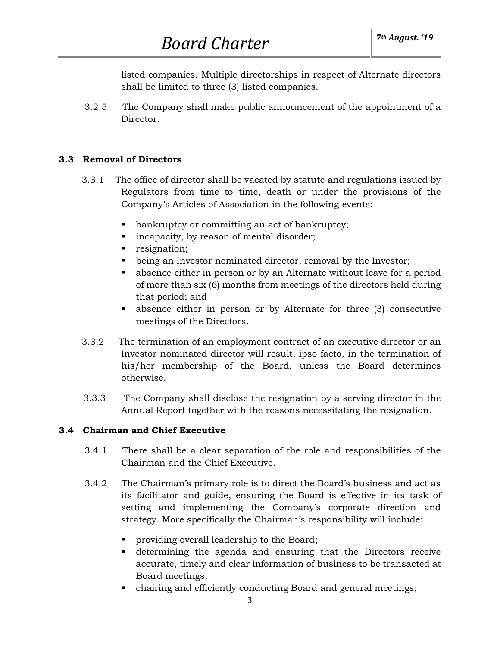listed companies. Multiple directorships in respect of Alternate directors shall be limited to three (3) listed companies.

 3.2.5 The Company shall make public announcement of the appointment of a Director.

# **3.3 Removal of Directors**

- 3.3.1 The office of director shall be vacated by statute and regulations issued by Regulators from time to time, death or under the provisions of the Company's Articles of Association in the following events:
	- bankruptcy or committing an act of bankruptcy;
	- incapacity, by reason of mental disorder;
	- resignation;
	- being an Investor nominated director, removal by the Investor;
	- absence either in person or by an Alternate without leave for a period of more than six (6) months from meetings of the directors held during that period; and
	- absence either in person or by Alternate for three (3) consecutive meetings of the Directors.
- 3.3.2 The termination of an employment contract of an executive director or an Investor nominated director will result, ipso facto, in the termination of his/her membership of the Board, unless the Board determines otherwise.
- 3.3.3 The Company shall disclose the resignation by a serving director in the Annual Report together with the reasons necessitating the resignation.

## **3.4 Chairman and Chief Executive**

- 3.4.1 There shall be a clear separation of the role and responsibilities of the Chairman and the Chief Executive.
- 3.4.2 The Chairman's primary role is to direct the Board's business and act as its facilitator and guide, ensuring the Board is effective in its task of setting and implementing the Company's corporate direction and strategy. More specifically the Chairman's responsibility will include:
	- providing overall leadership to the Board;
	- determining the agenda and ensuring that the Directors receive accurate, timely and clear information of business to be transacted at Board meetings;
	- chairing and efficiently conducting Board and general meetings;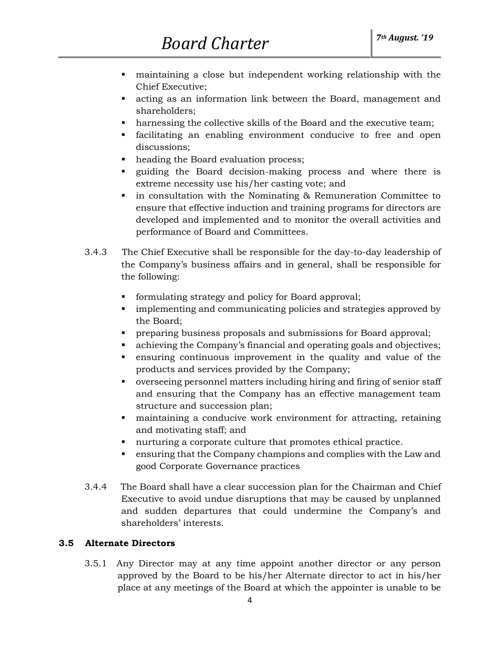- maintaining a close but independent working relationship with the Chief Executive;
- acting as an information link between the Board, management and shareholders;
- harnessing the collective skills of the Board and the executive team;
- facilitating an enabling environment conducive to free and open discussions;
- heading the Board evaluation process;
- guiding the Board decision-making process and where there is extreme necessity use his/her casting vote; and
- in consultation with the Nominating & Remuneration Committee to ensure that effective induction and training programs for directors are developed and implemented and to monitor the overall activities and performance of Board and Committees.
- 3.4.3 The Chief Executive shall be responsible for the day-to-day leadership of the Company's business affairs and in general, shall be responsible for the following:
	- formulating strategy and policy for Board approval;
	- **•** implementing and communicating policies and strategies approved by the Board;
	- **•** preparing business proposals and submissions for Board approval;
	- achieving the Company's financial and operating goals and objectives;
	- ensuring continuous improvement in the quality and value of the products and services provided by the Company;
	- overseeing personnel matters including hiring and firing of senior staff and ensuring that the Company has an effective management team structure and succession plan;
	- maintaining a conducive work environment for attracting, retaining and motivating staff; and
	- nurturing a corporate culture that promotes ethical practice.
	- ensuring that the Company champions and complies with the Law and good Corporate Governance practices
- 3.4.4 The Board shall have a clear succession plan for the Chairman and Chief Executive to avoid undue disruptions that may be caused by unplanned and sudden departures that could undermine the Company's and shareholders' interests.

# **3.5 Alternate Directors**

 3.5.1 Any Director may at any time appoint another director or any person approved by the Board to be his/her Alternate director to act in his/her place at any meetings of the Board at which the appointer is unable to be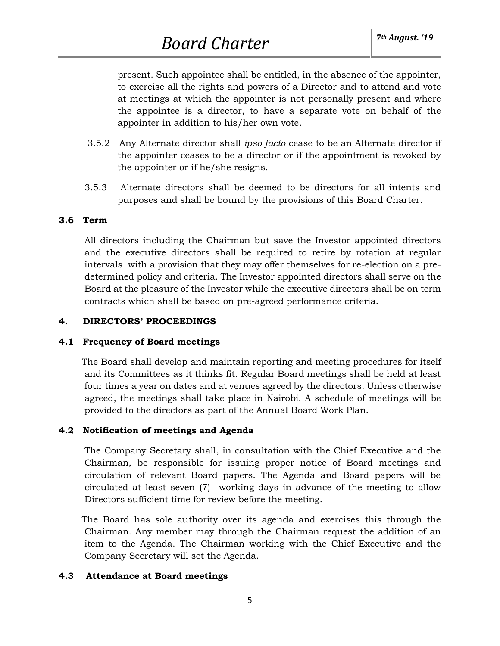present. Such appointee shall be entitled, in the absence of the appointer, to exercise all the rights and powers of a Director and to attend and vote at meetings at which the appointer is not personally present and where the appointee is a director, to have a separate vote on behalf of the appointer in addition to his/her own vote.

- 3.5.2 Any Alternate director shall *ipso facto* cease to be an Alternate director if the appointer ceases to be a director or if the appointment is revoked by the appointer or if he/she resigns.
- 3.5.3 Alternate directors shall be deemed to be directors for all intents and purposes and shall be bound by the provisions of this Board Charter.

## **3.6 Term**

 All directors including the Chairman but save the Investor appointed directors and the executive directors shall be required to retire by rotation at regular intervals with a provision that they may offer themselves for re-election on a predetermined policy and criteria. The Investor appointed directors shall serve on the Board at the pleasure of the Investor while the executive directors shall be on term contracts which shall be based on pre-agreed performance criteria.

#### **4. DIRECTORS' PROCEEDINGS**

## **4.1 Frequency of Board meetings**

 The Board shall develop and maintain reporting and meeting procedures for itself and its Committees as it thinks fit. Regular Board meetings shall be held at least four times a year on dates and at venues agreed by the directors. Unless otherwise agreed, the meetings shall take place in Nairobi. A schedule of meetings will be provided to the directors as part of the Annual Board Work Plan.

## **4.2 Notification of meetings and Agenda**

 The Company Secretary shall, in consultation with the Chief Executive and the Chairman, be responsible for issuing proper notice of Board meetings and circulation of relevant Board papers. The Agenda and Board papers will be circulated at least seven (7) working days in advance of the meeting to allow Directors sufficient time for review before the meeting.

 The Board has sole authority over its agenda and exercises this through the Chairman. Any member may through the Chairman request the addition of an item to the Agenda. The Chairman working with the Chief Executive and the Company Secretary will set the Agenda.

## **4.3 Attendance at Board meetings**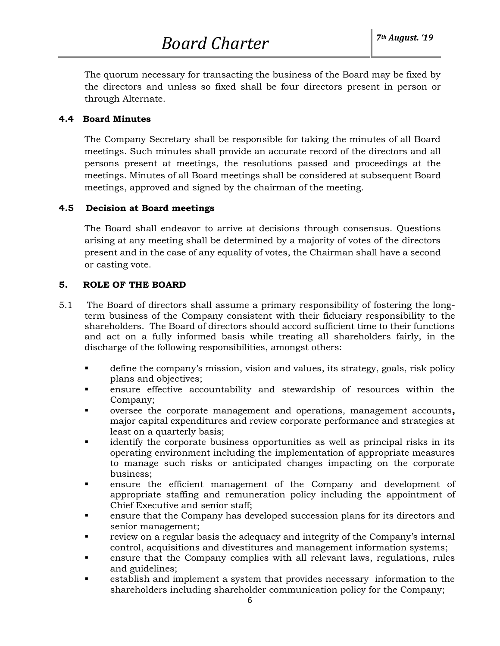The quorum necessary for transacting the business of the Board may be fixed by the directors and unless so fixed shall be four directors present in person or through Alternate.

#### **4.4 Board Minutes**

 The Company Secretary shall be responsible for taking the minutes of all Board meetings. Such minutes shall provide an accurate record of the directors and all persons present at meetings, the resolutions passed and proceedings at the meetings. Minutes of all Board meetings shall be considered at subsequent Board meetings, approved and signed by the chairman of the meeting.

#### **4.5 Decision at Board meetings**

 The Board shall endeavor to arrive at decisions through consensus. Questions arising at any meeting shall be determined by a majority of votes of the directors present and in the case of any equality of votes, the Chairman shall have a second or casting vote.

#### **5. ROLE OF THE BOARD**

- 5.1 The Board of directors shall assume a primary responsibility of fostering the longterm business of the Company consistent with their fiduciary responsibility to the shareholders. The Board of directors should accord sufficient time to their functions and act on a fully informed basis while treating all shareholders fairly, in the discharge of the following responsibilities, amongst others:
	- define the company's mission, vision and values, its strategy, goals, risk policy plans and objectives;
	- ensure effective accountability and stewardship of resources within the Company;
	- oversee the corporate management and operations, management accounts**,**  major capital expenditures and review corporate performance and strategies at least on a quarterly basis;
	- identify the corporate business opportunities as well as principal risks in its operating environment including the implementation of appropriate measures to manage such risks or anticipated changes impacting on the corporate business;
	- ensure the efficient management of the Company and development of appropriate staffing and remuneration policy including the appointment of Chief Executive and senior staff;
	- ensure that the Company has developed succession plans for its directors and senior management;
	- review on a regular basis the adequacy and integrity of the Company's internal control, acquisitions and divestitures and management information systems;
	- ensure that the Company complies with all relevant laws, regulations, rules and guidelines;
	- establish and implement a system that provides necessary information to the shareholders including shareholder communication policy for the Company;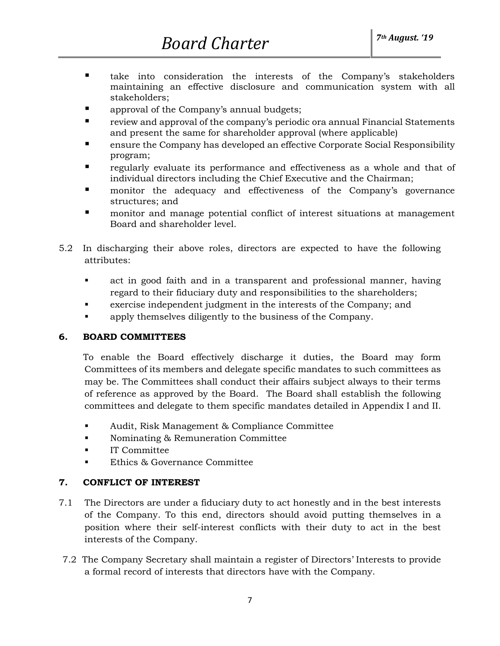- take into consideration the interests of the Company's stakeholders maintaining an effective disclosure and communication system with all stakeholders;
- approval of the Company's annual budgets;
- review and approval of the company's periodic ora annual Financial Statements and present the same for shareholder approval (where applicable)
- ensure the Company has developed an effective Corporate Social Responsibility program;
- regularly evaluate its performance and effectiveness as a whole and that of individual directors including the Chief Executive and the Chairman;
- **I** monitor the adequacy and effectiveness of the Company's governance structures; and
- monitor and manage potential conflict of interest situations at management Board and shareholder level.
- 5.2 In discharging their above roles, directors are expected to have the following attributes:
	- act in good faith and in a transparent and professional manner, having regard to their fiduciary duty and responsibilities to the shareholders;
	- exercise independent judgment in the interests of the Company; and
	- apply themselves diligently to the business of the Company.

# **6. BOARD COMMITTEES**

To enable the Board effectively discharge it duties, the Board may form Committees of its members and delegate specific mandates to such committees as may be. The Committees shall conduct their affairs subject always to their terms of reference as approved by the Board. The Board shall establish the following committees and delegate to them specific mandates detailed in Appendix I and II.

- Audit, Risk Management & Compliance Committee
- Nominating & Remuneration Committee
- IT Committee
- Ethics & Governance Committee

# **7. CONFLICT OF INTEREST**

- 7.1 The Directors are under a fiduciary duty to act honestly and in the best interests of the Company. To this end, directors should avoid putting themselves in a position where their self-interest conflicts with their duty to act in the best interests of the Company.
- 7.2 The Company Secretary shall maintain a register of Directors' Interests to provide a formal record of interests that directors have with the Company.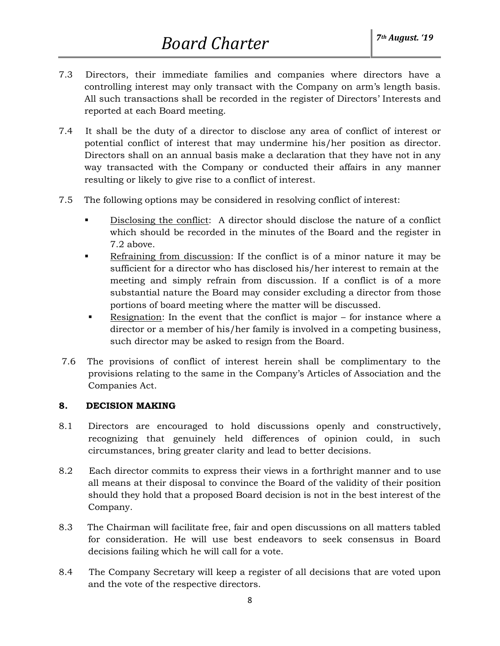- 7.3 Directors, their immediate families and companies where directors have a controlling interest may only transact with the Company on arm's length basis. All such transactions shall be recorded in the register of Directors' Interests and reported at each Board meeting.
- 7.4 It shall be the duty of a director to disclose any area of conflict of interest or potential conflict of interest that may undermine his/her position as director. Directors shall on an annual basis make a declaration that they have not in any way transacted with the Company or conducted their affairs in any manner resulting or likely to give rise to a conflict of interest.
- 7.5 The following options may be considered in resolving conflict of interest:
	- Disclosing the conflict: A director should disclose the nature of a conflict which should be recorded in the minutes of the Board and the register in 7.2 above.
	- Refraining from discussion: If the conflict is of a minor nature it may be sufficient for a director who has disclosed his/her interest to remain at the meeting and simply refrain from discussion. If a conflict is of a more substantial nature the Board may consider excluding a director from those portions of board meeting where the matter will be discussed.
	- Resignation: In the event that the conflict is major for instance where a director or a member of his/her family is involved in a competing business, such director may be asked to resign from the Board.
- 7.6 The provisions of conflict of interest herein shall be complimentary to the provisions relating to the same in the Company's Articles of Association and the Companies Act.

## **8. DECISION MAKING**

- 8.1 Directors are encouraged to hold discussions openly and constructively, recognizing that genuinely held differences of opinion could, in such circumstances, bring greater clarity and lead to better decisions.
- 8.2 Each director commits to express their views in a forthright manner and to use all means at their disposal to convince the Board of the validity of their position should they hold that a proposed Board decision is not in the best interest of the Company.
- 8.3 The Chairman will facilitate free, fair and open discussions on all matters tabled for consideration. He will use best endeavors to seek consensus in Board decisions failing which he will call for a vote.
- 8.4 The Company Secretary will keep a register of all decisions that are voted upon and the vote of the respective directors.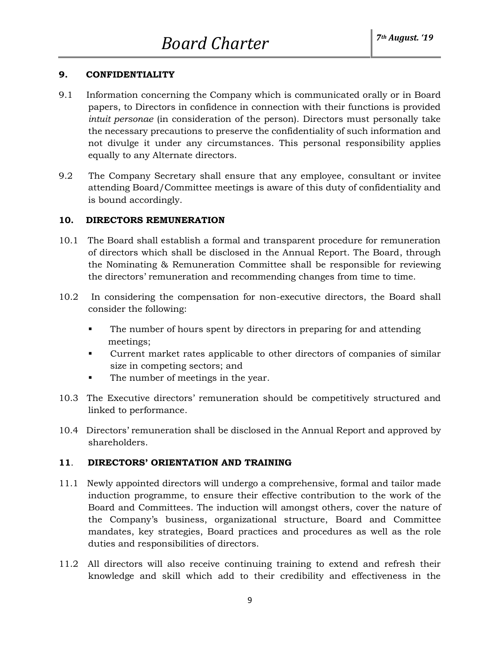## **9. CONFIDENTIALITY**

- 9.1Information concerning the Company which is communicated orally or in Board papers, to Directors in confidence in connection with their functions is provided *intuit personae* (in consideration of the person). Directors must personally take the necessary precautions to preserve the confidentiality of such information and not divulge it under any circumstances. This personal responsibility applies equally to any Alternate directors.
- 9.2 The Company Secretary shall ensure that any employee, consultant or invitee attending Board/Committee meetings is aware of this duty of confidentiality and is bound accordingly.

## **10. DIRECTORS REMUNERATION**

- 10.1 The Board shall establish a formal and transparent procedure for remuneration of directors which shall be disclosed in the Annual Report. The Board, through the Nominating & Remuneration Committee shall be responsible for reviewing the directors' remuneration and recommending changes from time to time.
- 10.2 In considering the compensation for non-executive directors, the Board shall consider the following:
	- The number of hours spent by directors in preparing for and attending meetings;
	- Current market rates applicable to other directors of companies of similar size in competing sectors; and
	- The number of meetings in the year.
- 10.3 The Executive directors' remuneration should be competitively structured and linked to performance.
- 10.4 Directors' remuneration shall be disclosed in the Annual Report and approved by shareholders.

## **11**. **DIRECTORS' ORIENTATION AND TRAINING**

- 11.1 Newly appointed directors will undergo a comprehensive, formal and tailor made induction programme, to ensure their effective contribution to the work of the Board and Committees. The induction will amongst others, cover the nature of the Company's business, organizational structure, Board and Committee mandates, key strategies, Board practices and procedures as well as the role duties and responsibilities of directors.
- 11.2 All directors will also receive continuing training to extend and refresh their knowledge and skill which add to their credibility and effectiveness in the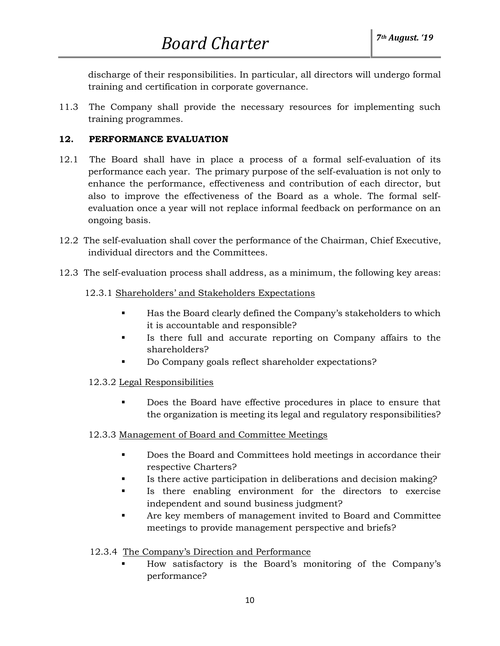discharge of their responsibilities. In particular, all directors will undergo formal training and certification in corporate governance.

11.3 The Company shall provide the necessary resources for implementing such training programmes.

## **12. PERFORMANCE EVALUATION**

- 12.1 The Board shall have in place a process of a formal self-evaluation of its performance each year. The primary purpose of the self-evaluation is not only to enhance the performance, effectiveness and contribution of each director, but also to improve the effectiveness of the Board as a whole. The formal selfevaluation once a year will not replace informal feedback on performance on an ongoing basis.
- 12.2 The self-evaluation shall cover the performance of the Chairman, Chief Executive, individual directors and the Committees.
- 12.3 The self-evaluation process shall address, as a minimum, the following key areas:

## 12.3.1 Shareholders' and Stakeholders Expectations

- Has the Board clearly defined the Company's stakeholders to which it is accountable and responsible?
- Is there full and accurate reporting on Company affairs to the shareholders?
- Do Company goals reflect shareholder expectations?

# 12.3.2 Legal Responsibilities

▪ Does the Board have effective procedures in place to ensure that the organization is meeting its legal and regulatory responsibilities?

## 12.3.3 Management of Board and Committee Meetings

- Does the Board and Committees hold meetings in accordance their respective Charters?
- Is there active participation in deliberations and decision making?
- Is there enabling environment for the directors to exercise independent and sound business judgment?
- Are key members of management invited to Board and Committee meetings to provide management perspective and briefs?

# 12.3.4 The Company's Direction and Performance

How satisfactory is the Board's monitoring of the Company's performance?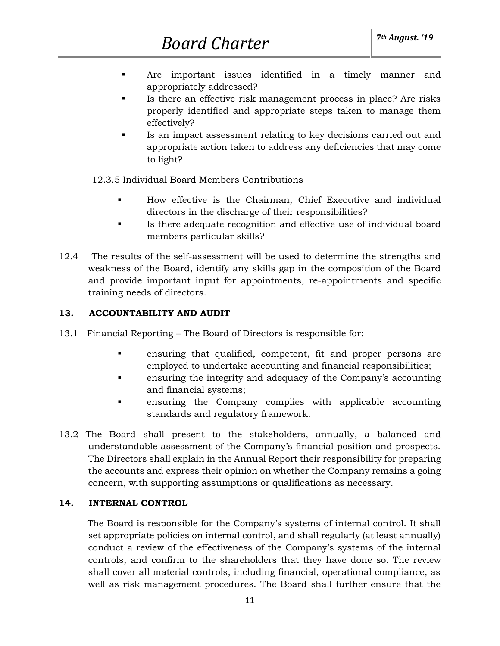- Are important issues identified in a timely manner and appropriately addressed?
- Is there an effective risk management process in place? Are risks properly identified and appropriate steps taken to manage them effectively?
- Is an impact assessment relating to key decisions carried out and appropriate action taken to address any deficiencies that may come to light?

# 12.3.5 Individual Board Members Contributions

- How effective is the Chairman, Chief Executive and individual directors in the discharge of their responsibilities?
- Is there adequate recognition and effective use of individual board members particular skills?
- 12.4 The results of the self-assessment will be used to determine the strengths and weakness of the Board, identify any skills gap in the composition of the Board and provide important input for appointments, re-appointments and specific training needs of directors.

# **13. ACCOUNTABILITY AND AUDIT**

- 13.1 Financial Reporting The Board of Directors is responsible for:
	- ensuring that qualified, competent, fit and proper persons are employed to undertake accounting and financial responsibilities;
	- ensuring the integrity and adequacy of the Company's accounting and financial systems;
	- ensuring the Company complies with applicable accounting standards and regulatory framework.
- 13.2 The Board shall present to the stakeholders, annually, a balanced and understandable assessment of the Company's financial position and prospects. The Directors shall explain in the Annual Report their responsibility for preparing the accounts and express their opinion on whether the Company remains a going concern, with supporting assumptions or qualifications as necessary.

# **14. INTERNAL CONTROL**

 The Board is responsible for the Company's systems of internal control. It shall set appropriate policies on internal control, and shall regularly (at least annually) conduct a review of the effectiveness of the Company's systems of the internal controls, and confirm to the shareholders that they have done so. The review shall cover all material controls, including financial, operational compliance, as well as risk management procedures. The Board shall further ensure that the